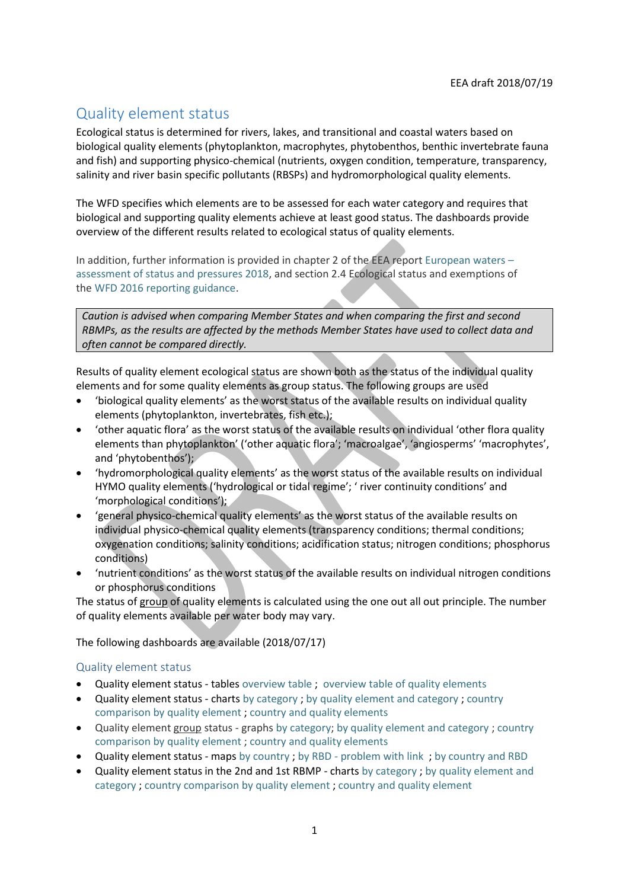# Quality element status

Ecological status is determined for rivers, lakes, and transitional and coastal waters based on biological quality elements (phytoplankton, macrophytes, phytobenthos, benthic invertebrate fauna and fish) and supporting physico-chemical (nutrients, oxygen condition, temperature, transparency, salinity and river basin specific pollutants (RBSPs) and hydromorphological quality elements.

The WFD specifies which elements are to be assessed for each water category and requires that biological and supporting quality elements achieve at least good status. The dashboards provide overview of the different results related to ecological status of quality elements.

In addition, further information is provided in chapter 2 of the EEA repor[t European waters](https://www.eea.europa.eu/publications/state-of-water) – [assessment of status and pressures 2018,](https://www.eea.europa.eu/publications/state-of-water) and section 2.4 Ecological status and exemptions of the [WFD 2016 reporting guidance.](http://cdr.eionet.europa.eu/help/WFD/WFD_521_2016)

*Caution is advised when comparing Member States and when comparing the first and second RBMPs, as the results are affected by the methods Member States have used to collect data and often cannot be compared directly.*

Results of quality element ecological status are shown both as the status of the individual quality elements and for some quality elements as group status. The following groups are used

- 'biological quality elements' as the worst status of the available results on individual quality elements (phytoplankton, invertebrates, fish etc.);
- 'other aquatic flora' as the worst status of the available results on individual 'other flora quality elements than phytoplankton' ('other aquatic flora'; 'macroalgae', 'angiosperms' 'macrophytes', and 'phytobenthos');
- 'hydromorphological quality elements' as the worst status of the available results on individual HYMO quality elements ('hydrological or tidal regime'; ' river continuity conditions' and 'morphological conditions');
- 'general physico-chemical quality elements' as the worst status of the available results on individual physico-chemical quality elements (transparency conditions; thermal conditions; oxygenation conditions; salinity conditions; acidification status; nitrogen conditions; phosphorus conditions)
- 'nutrient conditions' as the worst status of the available results on individual nitrogen conditions or phosphorus conditions

The status of group of quality elements is calculated using the one out all out principle. The number of quality elements available per water body may vary.

The following dashboards are available (2018/07/17)

# Quality element status

- Quality element status tables [overview table](https://tableau.discomap.eea.europa.eu/t/Wateronline/views/WISE_SOW_QualityElement/SWB_QualityElement?:embed=y&:showAppBanner=false&:showShareOptions=true&:display_count=no&:showVizHome=no) ; [overview table of quality elements](https://tableau.discomap.eea.europa.eu/t/Wateronline/views/WISE_SOW_QualityElement/SWB_QEGroup_QE_Europe?iframeSizedToWindow=true&:embed=y&:showAppBanner=false&:display_count=no&:showVizHome=no;)
- Quality element status charts [by category](https://tableau.discomap.eea.europa.eu/t/Wateronline/views/WISE_SOW_QualityElement_Status/SWB_QualityElement?iframeSizedToWindow=true&:embed=y&:showAppBanner=false&:display_count=no&:showVizHome=no) ; [by quality element and category](https://tableau.discomap.eea.europa.eu/t/Wateronline/views/WISE_SOW_QualityElement_Status/SWB_QualityElement_Category?iframeSizedToWindow=true&:embed=y&:showAppBanner=false&:display_count=no&:showVizHome=no) ; [country](https://tableau.discomap.eea.europa.eu/t/Wateronline/views/WISE_SOW_QualityElement_Status/SWB_QualityElement_Country?iframeSizedToWindow=true&:embed=y&:showAppBanner=false&:display_count=no&:showVizHome=no)  [comparison by quality element](https://tableau.discomap.eea.europa.eu/t/Wateronline/views/WISE_SOW_QualityElement_Status/SWB_QualityElement_Country?iframeSizedToWindow=true&:embed=y&:showAppBanner=false&:display_count=no&:showVizHome=no) ; [country and quality elements](https://tableau.discomap.eea.europa.eu/t/Wateronline/views/WISE_SOW_QualityElement_Status/SWB_QualityElement_CategoryCountry?iframeSizedToWindow=true&:embed=y&:showAppBanner=false&:display_count=no&:showVizHome=no)
- Quality element group status graphs [by category;](https://tableau.discomap.eea.europa.eu/t/Wateronline/views/WISE_SOW_QualityElementGroup_Status/SWB_QualityElementGroup?iframeSizedToWindow=true&:embed=y&:display_count=no&:showAppBanner=false&:showVizHome=no;) [by quality element and category](https://tableau.discomap.eea.europa.eu/t/Wateronline/views/WISE_SOW_QualityElementGroup_Status/SWB_QualityElementGroup_Category?iframeSizedToWindow=true&:embed=y&:showAppBanner=false&:display_count=no&:showVizHome=no) ; country [comparison by quality element](https://tableau.discomap.eea.europa.eu/t/Wateronline/views/WISE_SOW_QualityElementGroup_Status/SWB_QualityElementGroup_Country?iframeSizedToWindow=true&:embed=y&:showAppBanner=false&:display_count=no&:showVizHome=no) ; [country and quality elements](https://tableau.discomap.eea.europa.eu/t/Wateronline/views/WISE_SOW_QualityElementGroup_Status/SWB_QualityElementGroup_CategoryCountry?iframeSizedToWindow=true&:embed=y&:showAppBanner=false&:display_count=no&:showVizHome=no)
- Quality element status maps [by country](https://tableau.discomap.eea.europa.eu/t/Wateronline/views/WISE_SOW_SWB_QualityElement_Status_Maps/SWB_QualityElement_NUTS0?iframeSizedToWindow=true&:embed=y&:showAppBanner=false&:display_count=no&:showVizHome=no) ; by RBD [problem with link](https://tableau.discomap.eea.europa.eu/t/Wateronline/views/WISE_SOW_SWB_QualityElement_Status_Maps/SWB_QualityElement_Status_RBD?iframeSizedToWindow=true&:embed=y&:showAppBanner=false&:display_count=no&:showVizHome=no;) ; [by country and RBD](https://tableau.discomap.eea.europa.eu/t/Wateronline/views/WISE_SOW_SWB_QualityElement_Status_Maps/SWB_QualityElement_Country?iframeSizedToWindow=true&:embed=y&:showAppBanner=false&:display_count=no&:showVizHome=no)
- Quality element status in the 2nd and 1st RBMP charts by [category](https://tableau.discomap.eea.europa.eu/t/Wateronline/views/WISE_SOW_QualityElement_Status_Compare/SWB_QualityElement_Group?iframeSizedToWindow=true&:embed=y&:showAppBanner=false&:display_count=no&:showVizHome=no) ; [by quality element and](https://tableau.discomap.eea.europa.eu/t/Wateronline/views/WISE_SOW_QualityElement_Status_Compare/SWB_QualityElement_Category?iframeSizedToWindow=true&:embed=y&:showAppBanner=false&:display_count=no&:showVizHome=no)  [category](https://tableau.discomap.eea.europa.eu/t/Wateronline/views/WISE_SOW_QualityElement_Status_Compare/SWB_QualityElement_Category?iframeSizedToWindow=true&:embed=y&:showAppBanner=false&:display_count=no&:showVizHome=no) ; [country comparison by quality element](https://tableau.discomap.eea.europa.eu/t/Wateronline/views/WISE_SOW_QualityElement_Status_Compare/SWB_QualityElement_Country?iframeSizedToWindow=true&:embed=y&:showAppBanner=false&:display_count=no&:showVizHome=no) ; [country and quality element](https://tableau.discomap.eea.europa.eu/t/Wateronline/views/WISE_SOW_QualityElement_Status_Compare/SWB_QualityElement_CategoryCountry?iframeSizedToWindow=true&:embed=y&:showAppBanner=false&:display_count=no&:showVizHome=no)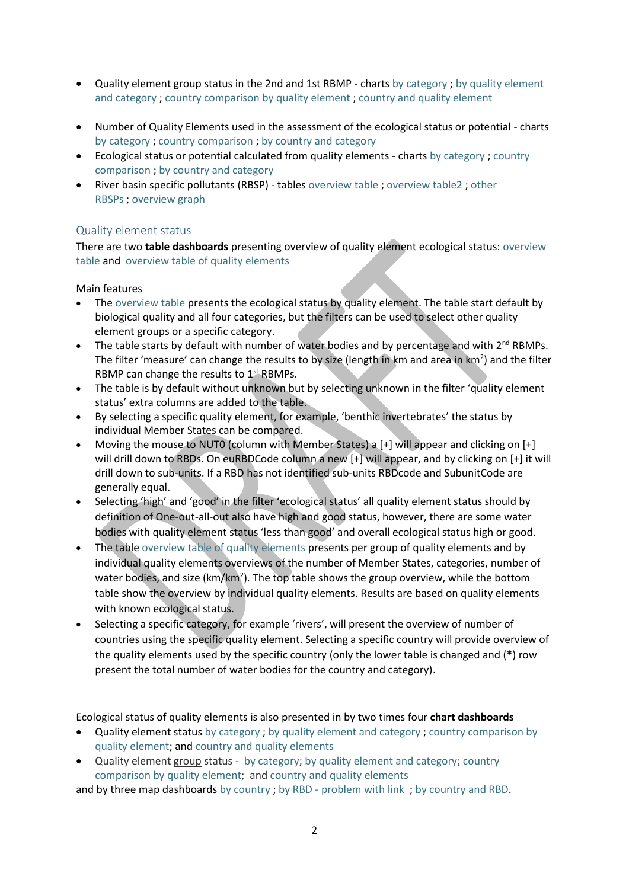- Quality element group status in the 2nd and 1st RBMP charts [by category](https://tableau.discomap.eea.europa.eu/t/Wateronline/views/WISE_SOW_QualityElementGroup_Status_Compare/SWB_QualityElementGroup_Group?iframeSizedToWindow=true&:embed=y&:showAppBanner=false&:display_count=no&:showVizHome=no) ; [by quality element](https://tableau.discomap.eea.europa.eu/t/Wateronline/views/WISE_SOW_QualityElementGroup_Status_Compare/SWB_QualityElementGroup_Category?iframeSizedToWindow=true&:embed=y&:showAppBanner=false&:display_count=no&:showVizHome=no)  [and category](https://tableau.discomap.eea.europa.eu/t/Wateronline/views/WISE_SOW_QualityElementGroup_Status_Compare/SWB_QualityElementGroup_Category?iframeSizedToWindow=true&:embed=y&:showAppBanner=false&:display_count=no&:showVizHome=no) ; [country comparison by quality element](https://tableau.discomap.eea.europa.eu/t/Wateronline/views/WISE_SOW_QualityElementGroup_Status_Compare/SWB_QualityElementGroup_Country?iframeSizedToWindow=true&:embed=y&:showAppBanner=false&:display_count=no&:showVizHome=no) ; [country and quality element](https://tableau.discomap.eea.europa.eu/t/Wateronline/views/WISE_SOW_QualityElementGroup_Status_Compare/SWB_QualityElementGroup_CategoryCountry?iframeSizedToWindow=true&:embed=y&:showAppBanner=false&:display_count=no&:showVizHome=no)
- Number of Quality Elements used in the assessment of the ecological status or potential charts [by category](https://tableau.discomap.eea.europa.eu/t/Wateronline/views/WISE_SOW_SWB_QEUsed/SWB_QEUsed_Category?iframeSizedToWindow=true&:embed=y&:showAppBanner=false&:display_count=no&:showVizHome=no) ; [country comparison](https://tableau.discomap.eea.europa.eu/t/Wateronline/views/WISE_SOW_SWB_QEUsed/SWB_QEUsed_Country?iframeSizedToWindow=true&:embed=y&:showAppBanner=false&:display_count=no&:showVizHome=no) ; [by country and category](https://tableau.discomap.eea.europa.eu/t/Wateronline/views/WISE_SOW_SWB_QEUsed/SWB_QEUsed_CategoryCountry?iframeSizedToWindow=true&:embed=y&:showAppBanner=false&:display_count=no&:showVizHome=no)
- Ecological status or potential calculated from quality elements chart[s by category](https://tableau.discomap.eea.europa.eu/t/Wateronline/views/WISE_SOW_EcologicalStatus_Calculated/SWB_EcologicalStatus_Calculated_Category?iframeSizedToWindow=true&:embed=y&:showAppBanner=false&:display_count=no&:showVizHome=no) ; [country](https://tableau.discomap.eea.europa.eu/t/Wateronline/views/WISE_SOW_EcologicalStatus_Calculated/SWB_EcologicalStatus_Calculated_Country?iframeSizedToWindow=true&:embed=y&:showAppBanner=false&:display_count=no&:showVizHome=no)  [comparison](https://tableau.discomap.eea.europa.eu/t/Wateronline/views/WISE_SOW_EcologicalStatus_Calculated/SWB_EcologicalStatus_Calculated_Country?iframeSizedToWindow=true&:embed=y&:showAppBanner=false&:display_count=no&:showVizHome=no) ; [by country and category](https://tableau.discomap.eea.europa.eu/t/Wateronline/views/WISE_SOW_EcologicalStatus_Calculated/SWB_EcologicalStatus_Calculated_CategoryCountry?iframeSizedToWindow=true&:embed=y&:showAppBanner=false&:display_count=no&:showVizHome=no)
- River basin specific pollutants (RBSP) tables [overview table](https://tableau.discomap.eea.europa.eu/t/Wateronline/views/WISE_SOW_FailingRBSP/SWB_FailingRBSP?:embed=y&:showAppBanner=false&:showShareOptions=true&:display_count=no&:showVizHome=no) ; [overview table2](https://tableau.discomap.eea.europa.eu/t/Wateronline/views/WISE_SOW_FailingRBSP/SWB_FailingRBSP_Europe?:embed=y&:showAppBanner=false&:showShareOptions=true&:display_count=no&:showVizHome=no) ; [other](https://tableau.discomap.eea.europa.eu/t/Wateronline/views/WISE_SOW_FailingRBSPOther/SWB_FailingRBSPOther?:embed=y&:showAppBanner=false&:showShareOptions=true&:display_count=no&:showVizHome=no)  [RBSPs](https://tableau.discomap.eea.europa.eu/t/Wateronline/views/WISE_SOW_FailingRBSPOther/SWB_FailingRBSPOther?:embed=y&:showAppBanner=false&:showShareOptions=true&:display_count=no&:showVizHome=no) ; [overview graph](https://tableau.discomap.eea.europa.eu/t/Wateronline/views/WISE_SOW_FailingRBSP/SWB_FailingRBSP_Europe_G?iframeSizedToWindow=true&:embed=y&:showAppBanner=false&:display_count=no&:showVizHome=no)

# Quality element status

There are two **table dashboards** presenting overview of quality element ecological status: [overview](https://tableau.discomap.eea.europa.eu/t/Wateronline/views/WISE_SOW_QualityElement/SWB_QualityElement?:embed=y&:showAppBanner=false&:showShareOptions=true&:display_count=no&:showVizHome=no)  [table](https://tableau.discomap.eea.europa.eu/t/Wateronline/views/WISE_SOW_QualityElement/SWB_QualityElement?:embed=y&:showAppBanner=false&:showShareOptions=true&:display_count=no&:showVizHome=no) and [overview table of quality elements](https://tableau.discomap.eea.europa.eu/t/Wateronline/views/WISE_SOW_QualityElement/SWB_QEGroup_QE_Europe?iframeSizedToWindow=true&:embed=y&:showAppBanner=false&:display_count=no&:showVizHome=no;)

## Main features

- The [overview table](https://tableau.discomap.eea.europa.eu/t/Wateronline/views/WISE_SOW_QualityElement/SWB_QualityElement?:embed=y&:showAppBanner=false&:showShareOptions=true&:display_count=no&:showVizHome=no) presents the ecological status by quality element. The table start default by biological quality and all four categories, but the filters can be used to select other quality element groups or a specific category.
- $\bullet$  The table starts by default with number of water bodies and by percentage and with 2<sup>nd</sup> RBMPs. The filter 'measure' can change the results to by size (length in km and area in km<sup>2</sup>) and the filter RBMP can change the results to 1<sup>st</sup> RBMPs.
- The table is by default without unknown but by selecting unknown in the filter 'quality element status' extra columns are added to the table.
- By selecting a specific quality element, for example, 'benthic invertebrates' the status by individual Member States can be compared.
- Moving the mouse to NUT0 (column with Member States) a [+] will appear and clicking on [+] will drill down to RBDs. On euRBDCode column a new [+] will appear, and by clicking on [+] it will drill down to sub-units. If a RBD has not identified sub-units RBDcode and SubunitCode are generally equal.
- Selecting 'high' and 'good' in the filter 'ecological status' all quality element status should by definition of One-out-all-out also have high and good status, however, there are some water bodies with quality element status 'less than good' and overall ecological status high or good.
- The table [overview table of quality elements](https://tableau.discomap.eea.europa.eu/t/Wateronline/views/WISE_SOW_QualityElement/SWB_QEGroup_QE_Europe?iframeSizedToWindow=true&:embed=y&:showAppBanner=false&:display_count=no&:showVizHome=no;) presents per group of quality elements and by individual quality elements overviews of the number of Member States, categories, number of water bodies, and size (km/km<sup>2</sup>). The top table shows the group overview, while the bottom table show the overview by individual quality elements. Results are based on quality elements with known ecological status.
- Selecting a specific category, for example 'rivers', will present the overview of number of countries using the specific quality element. Selecting a specific country will provide overview of the quality elements used by the specific country (only the lower table is changed and (\*) row present the total number of water bodies for the country and category).

Ecological status of quality elements is also presented in by two times four **chart dashboards**

- Quality element status [by category](https://tableau.discomap.eea.europa.eu/t/Wateronline/views/WISE_SOW_QualityElement_Status/SWB_QualityElement?iframeSizedToWindow=true&:embed=y&:showAppBanner=false&:display_count=no&:showVizHome=no) ; [by quality element and category](https://tableau.discomap.eea.europa.eu/t/Wateronline/views/WISE_SOW_QualityElement_Status/SWB_QualityElement_Category?iframeSizedToWindow=true&:embed=y&:showAppBanner=false&:display_count=no&:showVizHome=no) ; [country comparison by](https://tableau.discomap.eea.europa.eu/t/Wateronline/views/WISE_SOW_QualityElement_Status/SWB_QualityElement_Country?iframeSizedToWindow=true&:embed=y&:showAppBanner=false&:display_count=no&:showVizHome=no)  [quality element;](https://tableau.discomap.eea.europa.eu/t/Wateronline/views/WISE_SOW_QualityElement_Status/SWB_QualityElement_Country?iframeSizedToWindow=true&:embed=y&:showAppBanner=false&:display_count=no&:showVizHome=no) and [country and quality elements](https://tableau.discomap.eea.europa.eu/t/Wateronline/views/WISE_SOW_QualityElement_Status/SWB_QualityElement_CategoryCountry?iframeSizedToWindow=true&:embed=y&:showAppBanner=false&:display_count=no&:showVizHome=no)
- Quality element group status [by category;](https://tableau.discomap.eea.europa.eu/t/Wateronline/views/WISE_SOW_QualityElementGroup_Status/SWB_QualityElementGroup?iframeSizedToWindow=true&:embed=y&:display_count=no&:showAppBanner=false&:showVizHome=no;) [by quality element and category;](https://tableau.discomap.eea.europa.eu/t/Wateronline/views/WISE_SOW_QualityElementGroup_Status/SWB_QualityElementGroup_Category?iframeSizedToWindow=true&:embed=y&:showAppBanner=false&:display_count=no&:showVizHome=no) [country](https://tableau.discomap.eea.europa.eu/t/Wateronline/views/WISE_SOW_QualityElementGroup_Status/SWB_QualityElementGroup_Country?iframeSizedToWindow=true&:embed=y&:showAppBanner=false&:display_count=no&:showVizHome=no)  [comparison by quality element;](https://tableau.discomap.eea.europa.eu/t/Wateronline/views/WISE_SOW_QualityElementGroup_Status/SWB_QualityElementGroup_Country?iframeSizedToWindow=true&:embed=y&:showAppBanner=false&:display_count=no&:showVizHome=no) an[d country and quality elements](https://tableau.discomap.eea.europa.eu/t/Wateronline/views/WISE_SOW_QualityElementGroup_Status/SWB_QualityElementGroup_CategoryCountry?iframeSizedToWindow=true&:embed=y&:showAppBanner=false&:display_count=no&:showVizHome=no)

and by three map dashboards [by country](https://tableau.discomap.eea.europa.eu/t/Wateronline/views/WISE_SOW_SWB_QualityElement_Status_Maps/SWB_QualityElement_NUTS0?iframeSizedToWindow=true&:embed=y&:showAppBanner=false&:display_count=no&:showVizHome=no); by RBD - [problem with link](https://tableau.discomap.eea.europa.eu/t/Wateronline/views/WISE_SOW_SWB_QualityElement_Status_Maps/SWB_QualityElement_Status_RBD?iframeSizedToWindow=true&:embed=y&:showAppBanner=false&:display_count=no&:showVizHome=no;); [by country and RBD.](https://tableau.discomap.eea.europa.eu/t/Wateronline/views/WISE_SOW_SWB_QualityElement_Status_Maps/SWB_QualityElement_Country?iframeSizedToWindow=true&:embed=y&:showAppBanner=false&:display_count=no&:showVizHome=no)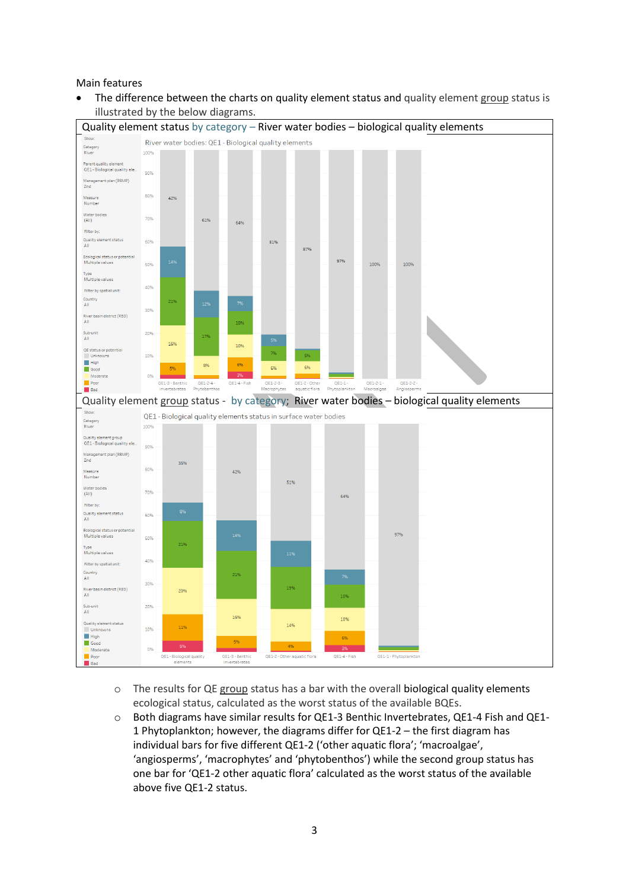#### Main features

The difference between the charts on quality element status and quality element group status is illustrated by the below diagrams.



- $\circ$  The results for QE group status has a bar with the overall biological quality elements ecological status, calculated as the worst status of the available BQEs.
- o Both diagrams have similar results for QE1-3 Benthic Invertebrates, QE1-4 Fish and QE1- 1 Phytoplankton; however, the diagrams differ for QE1-2 – the first diagram has individual bars for five different QE1-2 ('other aquatic flora'; 'macroalgae', 'angiosperms', 'macrophytes' and 'phytobenthos') while the second group status has one bar for 'QE1-2 other aquatic flora' calculated as the worst status of the available above five QE1-2 status.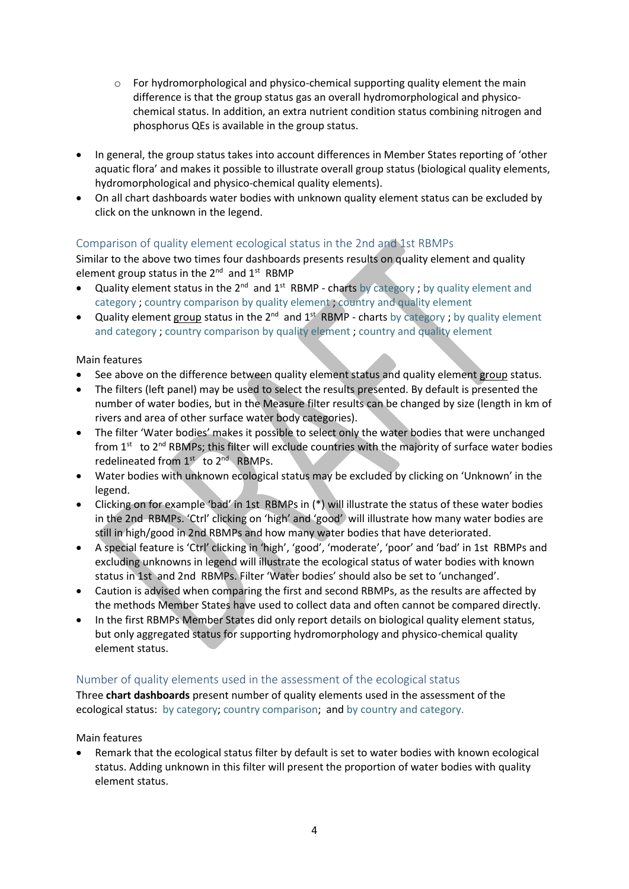- $\circ$  For hydromorphological and physico-chemical supporting quality element the main difference is that the group status gas an overall hydromorphological and physicochemical status. In addition, an extra nutrient condition status combining nitrogen and phosphorus QEs is available in the group status.
- In general, the group status takes into account differences in Member States reporting of 'other aquatic flora' and makes it possible to illustrate overall group status (biological quality elements, hydromorphological and physico-chemical quality elements).
- On all chart dashboards water bodies with unknown quality element status can be excluded by click on the unknown in the legend.

# Comparison of quality element ecological status in the 2nd and 1st RBMPs

Similar to the above two times four dashboards presents results on quality element and quality element group status in the  $2^{nd}$  and  $1^{st}$  RBMP

- Quality element status in the  $2^{nd}$  and  $1^{st}$  RBMP charts [by category](https://tableau.discomap.eea.europa.eu/t/Wateronline/views/WISE_SOW_QualityElement_Status_Compare/SWB_QualityElement_Group?iframeSizedToWindow=true&:embed=y&:showAppBanner=false&:display_count=no&:showVizHome=no); by quality element and [category](https://tableau.discomap.eea.europa.eu/t/Wateronline/views/WISE_SOW_QualityElement_Status_Compare/SWB_QualityElement_Category?iframeSizedToWindow=true&:embed=y&:showAppBanner=false&:display_count=no&:showVizHome=no) ; [country comparison by quality element](https://tableau.discomap.eea.europa.eu/t/Wateronline/views/WISE_SOW_QualityElement_Status_Compare/SWB_QualityElement_Country?iframeSizedToWindow=true&:embed=y&:showAppBanner=false&:display_count=no&:showVizHome=no) ; [country and quality element](https://tableau.discomap.eea.europa.eu/t/Wateronline/views/WISE_SOW_QualityElement_Status_Compare/SWB_QualityElement_CategoryCountry?iframeSizedToWindow=true&:embed=y&:showAppBanner=false&:display_count=no&:showVizHome=no)
- **•** Quality element group status in the  $2^{nd}$  and  $1^{st}$  RBMP charts [by category](https://tableau.discomap.eea.europa.eu/t/Wateronline/views/WISE_SOW_QualityElementGroup_Status_Compare/SWB_QualityElementGroup_Group?iframeSizedToWindow=true&:embed=y&:showAppBanner=false&:display_count=no&:showVizHome=no); by quality element [and category](https://tableau.discomap.eea.europa.eu/t/Wateronline/views/WISE_SOW_QualityElementGroup_Status_Compare/SWB_QualityElementGroup_Category?iframeSizedToWindow=true&:embed=y&:showAppBanner=false&:display_count=no&:showVizHome=no) ; [country comparison by quality element](https://tableau.discomap.eea.europa.eu/t/Wateronline/views/WISE_SOW_QualityElementGroup_Status_Compare/SWB_QualityElementGroup_Country?iframeSizedToWindow=true&:embed=y&:showAppBanner=false&:display_count=no&:showVizHome=no) ; [country and quality element](https://tableau.discomap.eea.europa.eu/t/Wateronline/views/WISE_SOW_QualityElementGroup_Status_Compare/SWB_QualityElementGroup_CategoryCountry?iframeSizedToWindow=true&:embed=y&:showAppBanner=false&:display_count=no&:showVizHome=no)

## Main features

- See above on the difference between quality element status and quality element group status.
- The filters (left panel) may be used to select the results presented. By default is presented the number of water bodies, but in the Measure filter results can be changed by size (length in km of rivers and area of other surface water body categories).
- The filter 'Water bodies' makes it possible to select only the water bodies that were unchanged from 1<sup>st</sup> to 2<sup>nd</sup> RBMPs; this filter will exclude countries with the majority of surface water bodies redelineated from 1<sup>st</sup> to 2<sup>nd</sup> RBMPs.
- Water bodies with unknown ecological status may be excluded by clicking on 'Unknown' in the legend.
- Clicking on for example 'bad' in 1st RBMPs in (\*) will illustrate the status of these water bodies in the 2nd RBMPs. 'Ctrl' clicking on 'high' and 'good' will illustrate how many water bodies are still in high/good in 2nd RBMPs and how many water bodies that have deteriorated.
- A special feature is 'Ctrl' clicking in 'high', 'good', 'moderate', 'poor' and 'bad' in 1st RBMPs and excluding unknowns in legend will illustrate the ecological status of water bodies with known status in 1st and 2nd RBMPs. Filter 'Water bodies' should also be set to 'unchanged'.
- Caution is advised when comparing the first and second RBMPs, as the results are affected by the methods Member States have used to collect data and often cannot be compared directly.
- In the first RBMPs Member States did only report details on biological quality element status, but only aggregated status for supporting hydromorphology and physico-chemical quality element status.

# Number of quality elements used in the assessment of the ecological status

Three **chart dashboards** present number of quality elements used in the assessment of the ecological status: [by category;](https://tableau.discomap.eea.europa.eu/t/Wateronline/views/WISE_SOW_SWB_QEUsed/SWB_QEUsed_Category?iframeSizedToWindow=true&:embed=y&:showAppBanner=false&:display_count=no&:showVizHome=no) [country comparison;](https://tableau.discomap.eea.europa.eu/t/Wateronline/views/WISE_SOW_SWB_QEUsed/SWB_QEUsed_Country?iframeSizedToWindow=true&:embed=y&:showAppBanner=false&:display_count=no&:showVizHome=no) and [by country and category.](https://tableau.discomap.eea.europa.eu/t/Wateronline/views/WISE_SOW_SWB_QEUsed/SWB_QEUsed_CategoryCountry?iframeSizedToWindow=true&:embed=y&:showAppBanner=false&:display_count=no&:showVizHome=no)

Main features

 Remark that the ecological status filter by default is set to water bodies with known ecological status. Adding unknown in this filter will present the proportion of water bodies with quality element status.